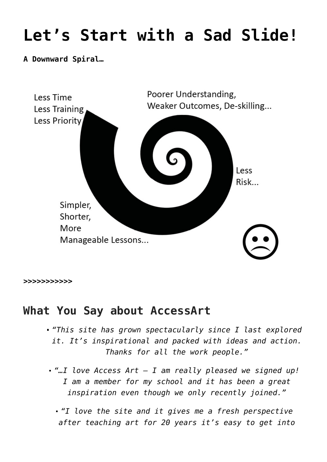## **[Let's Start with a Sad Slide!](https://www.accessart.org.uk/sadslide/)**

## **A Downward Spiral…**



**[>>>>>>>>>>>](https://www.accessart.org.uk/happy-slide/)**

## **What You Say about AccessArt**

- *"This site has grown spectacularly since I last explored it. It's inspirational and packed with ideas and action. Thanks for all the work people."*
- *"…I love Access Art I am really pleased we signed up! I am a member for my school and it has been a great inspiration even though we only recently joined."*
	- *"I love the site and it gives me a fresh perspective after teaching art for 20 years it's easy to get into*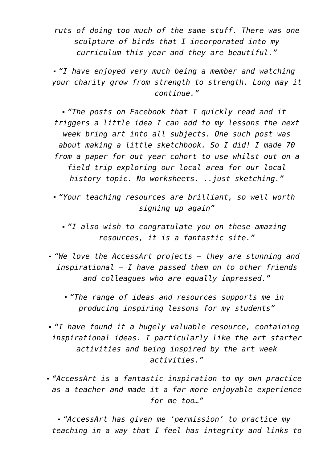*ruts of doing too much of the same stuff. There was one sculpture of birds that I incorporated into my curriculum this year and they are beautiful."*

*"I have enjoyed very much being a member and watching your charity grow from strength to strength. Long may it continue."*

*"The posts on Facebook that I quickly read and it triggers a little idea I can add to my lessons the next week bring art into all subjects. One such post was about making a little sketchbook. So I did! I made 70 from a paper for out year cohort to use whilst out on a field trip exploring our local area for our local history topic. No worksheets. ..just sketching."*

*"Your teaching resources are brilliant, so well worth signing up again"*

*"I also wish to congratulate you on these amazing resources, it is a fantastic site."*

*"We love the AccessArt projects – they are stunning and inspirational – I have passed them on to other friends and colleagues who are equally impressed."*

*"The range of ideas and resources supports me in producing inspiring lessons for my students"*

*"I have found it a hugely valuable resource, containing inspirational ideas. I particularly like the art starter activities and being inspired by the art week activities."*

*"AccessArt is a fantastic inspiration to my own practice as a teacher and made it a far more enjoyable experience for me too…"*

*"AccessArt has given me 'permission' to practice my teaching in a way that I feel has integrity and links to*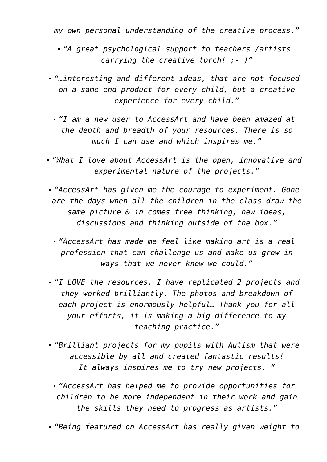*my own personal understanding of the creative process."*

- *"A great psychological support to teachers /artists carrying the creative torch! ;- )"*
- *"…interesting and different ideas, that are not focused on a same end product for every child, but a creative experience for every child."*
	- *"I am a new user to AccessArt and have been amazed at the depth and breadth of your resources. There is so much I can use and which inspires me."*
- *"What I love about AccessArt is the open, innovative and experimental nature of the projects."*
- *"AccessArt has given me the courage to experiment. Gone are the days when all the children in the class draw the same picture & in comes free thinking, new ideas, discussions and thinking outside of the box."*
	- *"AccessArt has made me feel like making art is a real profession that can challenge us and make us grow in ways that we never knew we could."*
- *"I LOVE the resources. I have replicated 2 projects and they worked brilliantly. The photos and breakdown of each project is enormously helpful… Thank you for all your efforts, it is making a big difference to my teaching practice."*
- *"Brilliant projects for my pupils with Autism that were accessible by all and created fantastic results! It always inspires me to try new projects. "*
	- *"AccessArt has helped me to provide opportunities for children to be more independent in their work and gain the skills they need to progress as artists."*
- *"Being featured on AccessArt has really given weight to*